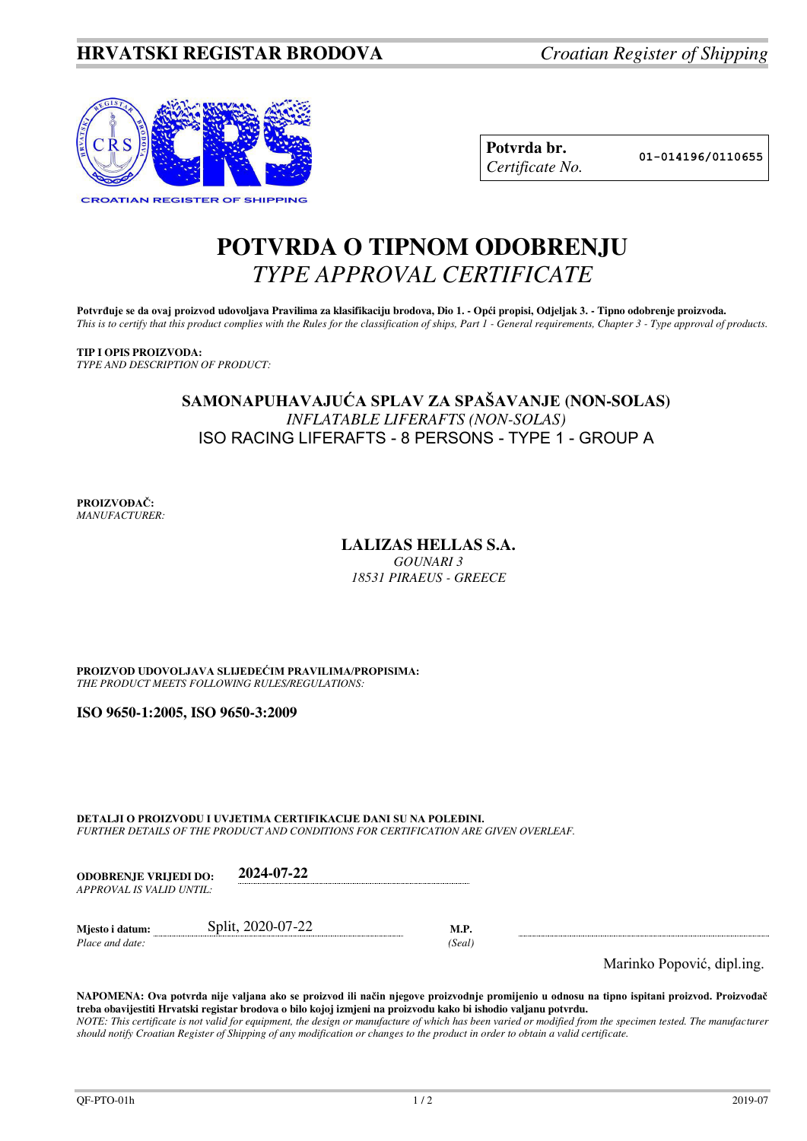

| Potvrda br.     |
|-----------------|
| Certificate No. |

**Potvrda br. 01-014196/0110655**

# **POTVRDA O TIPNOM ODOBRENJU**  *TYPE APPROVAL CERTIFICATE*

Potvrđuje se da ovaj proizvod udovoljava Pravilima za klasifikaciju brodova, Dio 1. - Opći propisi, Odjeljak 3. - Tipno odobrenje proizvoda. *This is to certify that this product complies with the Rules for the classification of ships, Part 1 - General requirements, Chapter 3 - Type approval of products.* 

**TIP I OPIS PROIZVODA:** *TYPE AND DESCRIPTION OF PRODUCT:* 

### **SAMONAPUHAVAJUĆA SPLAV ZA SPAŠAVANJE (NON-SOLAS)**  *INFLATABLE LIFERAFTS (NON-SOLAS)*  ISO RACING LIFERAFTS - 8 PERSONS - TYPE 1 - GROUP A

**PROIZVOĐAČ:** *MANUFACTURER:*

## **LALIZAS HELLAS S.A.**

*GOUNARI 3 18531 PIRAEUS - GREECE*

**PROIZVOD UDOVOLJAVA SLIJEDEĆIM PRAVILIMA/PROPISIMA:** *THE PRODUCT MEETS FOLLOWING RULES/REGULATIONS:* 

**ISO 9650-1:2005, ISO 9650-3:2009**

**DETALJI O PROIZVODU I UVJETIMA CERTIFIKACIJE DANI SU NA POLEĐINI.** *FURTHER DETAILS OF THE PRODUCT AND CONDITIONS FOR CERTIFICATION ARE GIVEN OVERLEAF.* 

| <b>ODOBRENJE VRLIEDI DO:</b> | 2024-07-22 |
|------------------------------|------------|
| APPROVAL IS VALID UNTIL:     |            |

| Miesto i datum: | Split, 2020-07-22 |       |
|-----------------|-------------------|-------|
| Place and date: |                   | Seal) |

Marinko Popović, dipl.ing.

**NAPOMENA: Ova potvrda nije valjana ako se proizvod ili način njegove proizvodnje promijenio u odnosu na tipno ispitani proizvod. Proizvođač treba obavijestiti Hrvatski registar brodova o bilo kojoj izmjeni na proizvodu kako bi ishodio valjanu potvrdu.**  *NOTE: This certificate is not valid for equipment, the design or manufacture of which has been varied or modified from the specimen tested. The manufacturer should notify Croatian Register of Shipping of any modification or changes to the product in order to obtain a valid certificate.*